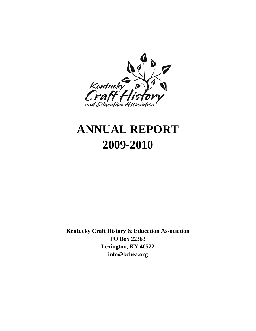

# **ANNUAL REPORT 2009-2010**

**Kentucky Craft History & Education Association PO Box 22363 Lexington, KY 40522 info@kchea.org**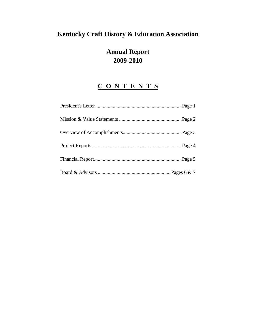# **Kentucky Craft History & Education Association**

# **Annual Report 2009-2010**

# **C O N T E N T S**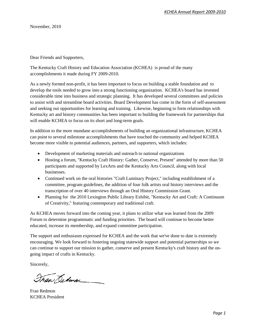November, 2010

Dear Friends and Supporters,

The Kentucky Craft History and Education Association (KCHEA) is proud of the many accomplishments it made during FY 2009-2010.

As a newly formed non-profit, it has been important to focus on building a stable foundation and to develop the tools needed to grow into a strong functioning organization. KCHEA's board has invested considerable time into business and strategic planning. It has developed several committees and policies to assist with and streamline board activities. Board Development has come in the form of self-assessment and seeking out opportunities for learning and training. Likewise, beginning to form relationships with Kentucky art and history communities has been important to building the framework for partnerships that will enable KCHEA to focus on its short and long-term goals.

In addition to the more mundane accomplishments of building an organizational infrastructure, KCHEA can point to several milestone accomplishments that have touched the community and helped KCHEA become more visible to potential audiences, partners, and supporters, which includes:

- Development of marketing materials and outreach to national organizations
- Hosting a forum, "Kentucky Craft History: Gather, Conserve, Present" attended by more than 50 participants and supported by LexArts and the Kentucky Arts Council, along with local businesses.
- Continued work on the oral histories "Craft Luminary Project," including establishment of a committee, program guidelines, the addition of four folk artists oral history interviews and the transcription of over 40 interviews through an Oral History Commission Grant.
- Planning for the 2010 Lexington Public Library Exhibit, "Kentucky Art and Craft: A Continuum of Creativity," featuring contemporary and traditional craft.

As KCHEA moves forward into the coming year, it plans to utilize what was learned from the 2009 Forum to determine programmatic and funding priorities. The board will continue to become better educated, increase its membership, and expand committee participation.

The support and enthusiasm expressed for KCHEA and the work that we've done to date is extremely encouraging. We look forward to fostering ongoing statewide support and potential partnerships so we can continue to support our mission to gather, conserve and present Kentucky's craft history and the ongoing impact of crafts in Kentucky.

Sincerely,

Tran Dedun

Fran Redmon KCHEA President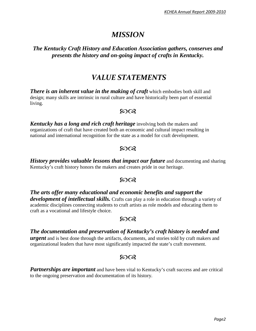# *MISSION*

### *The Kentucky Craft History and Education Association gathers, conserves and presents the history and on-going impact of crafts in Kentucky.*

# *VALUE STATEMENTS*

*There is an inherent value in the making of craft* **which embodies both skill and** design; many skills are intrinsic in rural culture and have historically been part of essential living.

### $50Q$

*Kentucky has a long and rich craft heritage* involving both the makers and organizations of craft that have created both an economic and cultural impact resulting in national and international recognition for the state as a model for craft development.

## $50Q$

*History provides valuable lessons that impact our future* and documenting and sharing Kentucky's craft history honors the makers and creates pride in our heritage.

## 5008

*The arts offer many educational and economic benefits and support the development of intellectual skills.* Crafts can play a role in education through a variety of academic disciplines connecting students to craft artists as role models and educating them to craft as a vocational and lifestyle choice.

## $50Q$

### *The documentation and preservation of Kentucky's craft history is needed and*

*urgent* and is best done through the artifacts, documents, and stories told by craft makers and organizational leaders that have most significantly impacted the state's craft movement.

# ഩ൚

**Partnerships are important** and have been vital to Kentucky's craft success and are critical to the ongoing preservation and documentation of its history.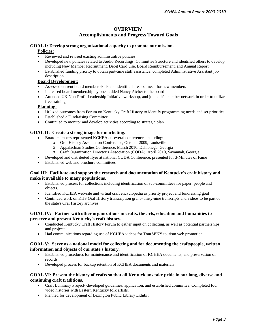#### **OVERVIEW**

#### **Accomplishments and Progress Toward Goals**

#### **GOAL I: Develop strong organizational capacity to promote our mission.**

#### **Policies:**

- Reviewed and revised existing administrative policies
- Developed new policies related to Audio Recordings, Committee Structure and identified others to develop including New Member Recruitment, Debit Card Use, Board Reimbursement, and Annual Report
- Established funding priority to obtain part-time staff assistance, completed Administrative Assistant job description

#### **Board Development:**

- Assessed current board member skills and identified areas of need for new members
- Increased board membership by one, added Nancy Atcher to the board
- Attended UK Non-Profit Leadership Initiative workshop, and joined it's member network in order to utilize free training

#### **Planning:**

- Utilized outcomes from Forum on Kentucky Craft History to identify programming needs and set priorities
- Established a Fundraising Committee
- Continued to monitor and develop activities according to strategic plan

#### **GOAL II: Create a strong image for marketing.**

- Board members represented KCHEA at several conferences including:
	- o Oral History Association Conference, October 2009, Louisville
	- o Appalachian Studies Conference, March 2010, Dahlonega, Georgia
	- o Craft Organization Director's Association (CODA), April 2010, Savannah, Georgia
- Developed and distributed flyer at national CODA Conference, presented for 3-Minutes of Fame
- Established web and brochure committees

#### **Goal III: Facilitate and support the research and documentation of Kentucky's craft history and make it available to many populations.**

- Established process for collections including identification of sub-committees for paper, people and objects.
- Identified KCHEA web-site and virtual craft encyclopedia as priority project and fundraising goal
- Continued work on KHS Oral History transcription grant--thirty-nine transcripts and videos to be part of the state's Oral History archives

#### **GOAL IV: Partner with other organizations in crafts, the arts, education and humanities to preserve and present Kentucky's craft history.**

- Conducted Kentucky Craft History Forum to gather input on collecting, as well as potential partnerships and projects.
- Had communications regarding use of KCHEA videos for TourSEKY tourism web promotion.

#### **GOAL V: Serve as a national model for collecting and for documenting the craftspeople, written information and objects of our state's history.**

- Established procedures for maintenance and identification of KCHEA documents, and preservation of records
- Developed process for backup retention of KCHEA documents and materials

#### **GOAL VI: Present the history of crafts so that all Kentuckians take pride in our long, diverse and continuing craft traditions.**

- Craft Luminary Project--developed guidelines, application, and established committee. Completed four video histories with Eastern Kentucky folk artists.
- Planned for development of Lexington Public Library Exhibit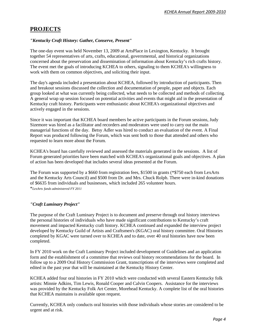# **PROJECTS**

#### *"Kentucky Craft History: Gather, Conserve, Present"*

The one-day event was held November 13, 2009 at ArtsPlace in Lexington, Kentucky. It brought together 54 representatives of arts, crafts, educational, governmental, and historical organizations concerned about the preservation and dissemination of information about Kentucky's rich crafts history. The event met the goals of introducing KCHEA to others, signaling to them KCHEA's willingness to work with them on common objectives, and soliciting their input.

The day's agenda included a presentation about KCHEA, followed by introduction of participants. Then and breakout sessions discussed the collection and documentation of people, paper and objects. Each group looked at what was currently being collected, what needs to be collected and methods of collecting. A general wrap up session focused on potential activities and events that might aid in the presentation of Kentucky craft history. Participants were enthusiastic about KCHEA's organizational objectives and actively engaged in the sessions.

Since it was important that KCHEA board members be active participants in the Forum sessions, Judy Sizemore was hired as a facilitator and recorders and moderators were used to carry out the main managerial functions of the day. Betsy Adler was hired to conduct an evaluation of the event. A Final Report was produced following the Forum, which was sent both to those that attended and others who requested to learn more about the Forum.

KCHEA's board has carefully reviewed and assessed the materials generated in the sessions. A list of Forum generated priorities have been matched with KCHEA's organizational goals and objectives. A plan of action has been developed that includes several ideas presented at the Forum.

The Forum was supported by a \$660 from registration fees, \$1500 in grants (\*\$750 each from LexArts and the Kentucky Arts Council) and \$500 from Dr. and Mrs. Chuck Rolph. There were in-kind donations of \$6635 from individuals and businesses, which included 265 volunteer hours. \**LexArts funds administered FY 2011*

#### *"Craft Luminary Project"*

The purpose of the Craft Luminary Project is to document and preserve through oral history interviews the personal histories of individuals who have made significant contributions to Kentucky's craft movement and impacted Kentucky craft history. KCHEA continued and expanded the interview project developed by Kentucky Guild of Artists and Craftsmen's (KGAC) oral history committee. Oral Histories completed by KGAC were turned over to KCHEA and to date, over 40 oral histories have now been completed.

In FY 2010 work on the Craft Luminary Project included development of Guidelines and an application form and the establishment of a committee that reviews oral history recommendations for the board. In follow up to a 2009 Oral History Commission Grant, transcriptions of the interviews were completed and edited in the past year that will be maintained at the Kentucky History Center.

KCHEA added four oral histories in FY 2010 which were conducted with several Eastern Kentucky folk artists: Minnie Adkins, Tim Lewis, Ronald Cooper and Calvin Coopers. Assistance for the interviews was provided by the Kentucky Folk Art Center, Morehead Kentucky. A complete list of the oral histories that KCHEA maintains is available upon request.

Currently, KCHEA only conducts oral histories with those individuals whose stories are considered to be urgent and at risk.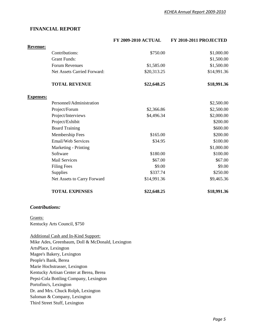#### **FINANCIAL REPORT**

|                       |                                                                                                                                                                              | <b>FY 2009-2010 ACTUAL</b> | FY 2010-2011 PROJECTED |
|-----------------------|------------------------------------------------------------------------------------------------------------------------------------------------------------------------------|----------------------------|------------------------|
| <b>Revenue:</b>       |                                                                                                                                                                              |                            |                        |
|                       | Contributions:                                                                                                                                                               | \$750.00                   | \$1,000.00             |
|                       | <b>Grant Funds:</b>                                                                                                                                                          |                            | \$1,500.00             |
|                       | <b>Forum Revenues</b>                                                                                                                                                        | \$1,585.00                 | \$1,500.00             |
|                       | Net Assets Carried Forward:                                                                                                                                                  | \$20,313.25                | \$14,991.36            |
|                       | <b>TOTAL REVENUE</b>                                                                                                                                                         | \$22,648.25                | \$18,991.36            |
| <b>Expenses:</b>      |                                                                                                                                                                              |                            |                        |
|                       | Personnel/Administration                                                                                                                                                     |                            | \$2,500.00             |
|                       | Project/Forum                                                                                                                                                                | \$2,366.86                 | \$2,500.00             |
|                       | Project/Interviews                                                                                                                                                           | \$4,496.34                 | \$2,000.00             |
|                       | Project/Exhibit                                                                                                                                                              |                            | \$200.00               |
|                       | <b>Board Training</b>                                                                                                                                                        |                            | \$600.00               |
|                       | Membership Fees                                                                                                                                                              | \$165.00                   | \$200.00               |
|                       | <b>Email/Web Services</b>                                                                                                                                                    | \$34.95                    | \$100.00               |
|                       | Marketing - Printing                                                                                                                                                         |                            | \$1,000.00             |
|                       | Software                                                                                                                                                                     | \$180.00                   | \$100.00               |
|                       | <b>Mail Services</b>                                                                                                                                                         | \$67.00                    | \$67.00                |
|                       | <b>Filing Fees</b>                                                                                                                                                           | \$9.00                     | \$9.00                 |
|                       | Supplies                                                                                                                                                                     | \$337.74                   | \$250.00               |
|                       | Net Assets to Carry Forward                                                                                                                                                  | \$14,991.36                | \$9,465.36             |
|                       | <b>TOTAL EXPENSES</b>                                                                                                                                                        | \$22,648.25                | \$18,991.36            |
| <b>Contributions:</b> |                                                                                                                                                                              |                            |                        |
| Grants:               | Kentucky Arts Council, \$750                                                                                                                                                 |                            |                        |
|                       | <b>Additional Cash and In-Kind Support:</b><br>Mike Ades, Greenbaum, Doll & McDonald, Lexington<br>ArtsPlace, Lexington<br>Magee's Bakery, Lexington<br>People's Bank, Berea |                            |                        |
|                       | Marie Hochstrasser, Lexington                                                                                                                                                |                            |                        |

Kentucky Artisan Center at Berea, Berea

Pepsi-Cola Bottling Company, Lexington

Portofino's, Lexington

Dr. and Mrs. Chuck Rolph, Lexington

Saloman & Company, Lexington

Third Street Stuff, Lexington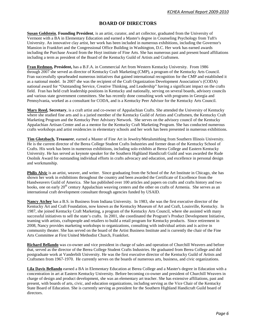#### **BOARD OF DIRECTORS**

**Susan Goldstein**, **Founding President**, is an artist, curator, and art collector, graduated from the University of Vermont with a BA in Elementary Education and earned a Master's degree in Counseling Psychology from Tuft's University. An innovative clay artist, her work has been included in numerous exhibitions, including the Governor's Mansion in Frankfort and the Congressional Office Building in Washington, D.C. Her work has earned awards including the Purchase Award from the Hoyt institute of Fine Arts. She has numerous past and present board affiliations including a term as president of the Board of the Kentucky Guild of Artists and Craftsmen.

**Fran Redmon, President,** has a B.F.A. in Commercial Art from Western Kentucky University. From 1986 through 2007 she served as director of Kentucky Craft Marketing (CMP), a program of the Kentucky Arts Council. Fran successfully spearheaded numerous initiatives that gained international recognition for the CMP and established it as a national model. In 2007 she was the recipient of the Craft Organization Development Association's (CODA) national award for "Outstanding Service, Creative Thinking, and Leadership" having a significant impact on the crafts field. Fran has held craft leadership positions in Kentucky and nationally, serving on several boards, advisory councils and various state government committees. She has recently done consulting work with programs in Georgia and Pennsylvania, worked as a consultant for CODA, and is a Kentucky Peer Advisor for the Kentucky Arts Council.

**Mary Reed, Secretary**, is a craft artist and co-owner of Appalachian Crafts. She attended the University of Kentucky where she studied fine arts and is a juried member of the Kentucky Guild of Artists and Craftsmen, the Kentucky Craft Marketing Program and the Kentucky Peer Advisory Network. She serves on the advisory council of the Kentucky Appalachian Artisan Center and as a mentor for the Kentucky Craft Marketing Program. She has conducted numerous crafts workshops and artist residencies in elementary schools and her work has been presented in numerous exhibitions.

**Tim Glotzbach, Treasurer**, earned a Master of Fine Art in Jewelry/Metalsmithing from Southern Illinois University. He is the current director of the Berea College Student Crafts Industries and former dean of the Kentucky School of Crafts. His work has been in numerous exhibitions, including solo exhibits at Berea College and Eastern Kentucky University. He has served as keynote speaker for the Southern Highland Handicraft Guild and was awarded the Rude Osolnik Award for outstanding individual efforts in crafts advocacy and education, and excellence in personal design and workmanship.

**Philis Alvic** is an artist, weaver, and writer. Since graduating from the School of the Art Institute in Chicago, she has shown her work in exhibitions throughout the country and been awarded the Certificate of Excellence from the Handweavers Guild of America. She has published over 100 articles and papers on crafts and crafts history and two books, one on early 20<sup>th</sup> century Appalachian weaving centers and the other on crafts of Armenia. She serves as an international craft development consultant through agencies funded by USAID.

**Nancy Atcher** has a B.S. in Business from Indiana University. In 1983, she was the first executive director of the Kentucky Art and Craft Foundation, now known as the Kentucky Museum of Art and Craft, Louisville, Kentucky. In 1987, she joined Kentucky Craft Marketing, a program of the Kentucky Arts Council, where she assisted with many successful initiatives to sell the state's crafts. In 2001, she coordinated the Program's Product Development Initiative, teaming with artists, craftspeople and retailers to build a retail program for Kentucky products. Since retirement in 2008, Nancy provides marketing workshops to organizations, consulting with individual artists and is active in community theater. She has served on the board of the Artist Business Institute and is currently the chair of the Fine Arts Committee at First United Methodist Church, Frankfort.

**Richard Bellando** was co-owner and vice president in charge of sales and operation of Churchill Weavers and before that, served as the director of the Berea College Student Crafts Industries. He graduated from Berea College and did postgraduate work at Vanderbilt University. He was the first executive director of the Kentucky Guild of Artists and Craftsmen from 1967-1970. He currently serves on the boards of numerous arts, business, and civic organizations.

**Lila Davis Bellando** earned a BA in Elementary Education at Berea College and a Master's degree in Education with a concentration in art at Eastern Kentucky University. Before becoming co-owner and president of Churchill Weavers in charge of design and product development, she was an elementary art teacher. She has extensive affiliations, past and present, with boards of arts, civic, and education organizations, including serving as the Vice Chair of the Kentucky State Board of Education. She is currently serving as president for the Southern Highland Handicraft Guild board of directors.